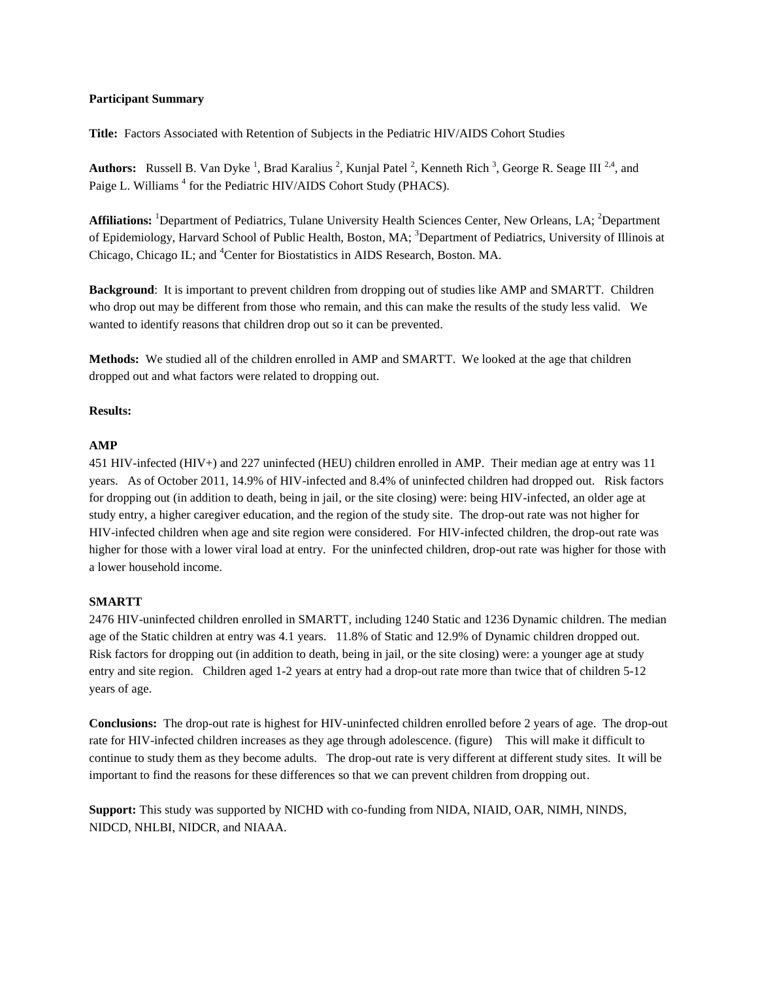## **Participant Summary**

**Title:** Factors Associated with Retention of Subjects in the Pediatric HIV/AIDS Cohort Studies

Authors: Russell B. Van Dyke<sup>1</sup>, Brad Karalius<sup>2</sup>, Kunjal Patel<sup>2</sup>, Kenneth Rich<sup>3</sup>, George R. Seage III<sup>2,4</sup>, and Paige L. Williams<sup>4</sup> for the Pediatric HIV/AIDS Cohort Study (PHACS).

Affiliations: <sup>1</sup>Department of Pediatrics, Tulane University Health Sciences Center, New Orleans, LA; <sup>2</sup>Department of Epidemiology, Harvard School of Public Health, Boston, MA; <sup>3</sup>Department of Pediatrics, University of Illinois at Chicago, Chicago IL; and <sup>4</sup>Center for Biostatistics in AIDS Research, Boston. MA.

**Background**: It is important to prevent children from dropping out of studies like AMP and SMARTT. Children who drop out may be different from those who remain, and this can make the results of the study less valid. We wanted to identify reasons that children drop out so it can be prevented.

**Methods:** We studied all of the children enrolled in AMP and SMARTT. We looked at the age that children dropped out and what factors were related to dropping out.

## **Results:**

## **AMP**

451 HIV-infected (HIV+) and 227 uninfected (HEU) children enrolled in AMP. Their median age at entry was 11 years. As of October 2011, 14.9% of HIV-infected and 8.4% of uninfected children had dropped out. Risk factors for dropping out (in addition to death, being in jail, or the site closing) were: being HIV-infected, an older age at study entry, a higher caregiver education, and the region of the study site. The drop-out rate was not higher for HIV-infected children when age and site region were considered. For HIV-infected children, the drop-out rate was higher for those with a lower viral load at entry. For the uninfected children, drop-out rate was higher for those with a lower household income.

## **SMARTT**

2476 HIV-uninfected children enrolled in SMARTT, including 1240 Static and 1236 Dynamic children. The median age of the Static children at entry was 4.1 years. 11.8% of Static and 12.9% of Dynamic children dropped out. Risk factors for dropping out (in addition to death, being in jail, or the site closing) were: a younger age at study entry and site region. Children aged 1-2 years at entry had a drop-out rate more than twice that of children 5-12 years of age.

**Conclusions:** The drop-out rate is highest for HIV-uninfected children enrolled before 2 years of age. The drop-out rate for HIV-infected children increases as they age through adolescence. (figure) This will make it difficult to continue to study them as they become adults. The drop-out rate is very different at different study sites. It will be important to find the reasons for these differences so that we can prevent children from dropping out.

**Support:** This study was supported by NICHD with co-funding from NIDA, NIAID, OAR, NIMH, NINDS, NIDCD, NHLBI, NIDCR, and NIAAA.